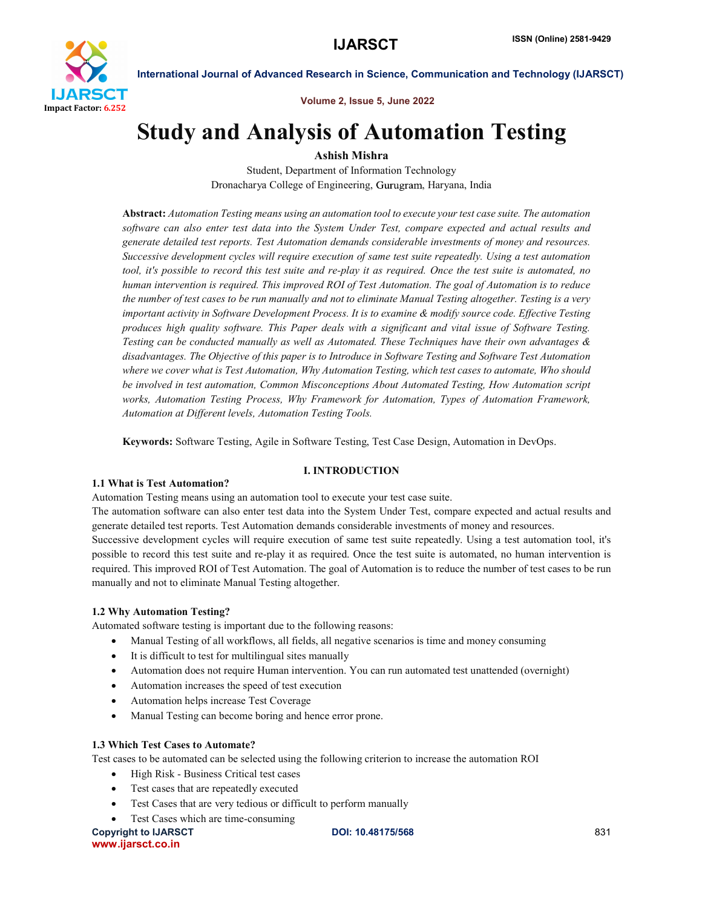

Volume 2, Issue 5, June 2022

## Study and Analysis of Automation Testing

## Ashish Mishra

Student, Department of Information Technology Dronacharya College of Engineering, Gurugram, Haryana, India

Abstract: *Automation Testing means using an automation tool to execute your test case suite. The automation software can also enter test data into the System Under Test, compare expected and actual results and generate detailed test reports. Test Automation demands considerable investments of money and resources. Successive development cycles will require execution of same test suite repeatedly. Using a test automation tool, it's possible to record this test suite and re-play it as required. Once the test suite is automated, no human intervention is required. This improved ROI of Test Automation. The goal of Automation is to reduce the number of test cases to be run manually and not to eliminate Manual Testing altogether. Testing is a very important activity in Software Development Process. It is to examine & modify source code. Effective Testing produces high quality software. This Paper deals with a significant and vital issue of Software Testing. Testing can be conducted manually as well as Automated. These Techniques have their own advantages & disadvantages. The Objective of this paper is to Introduce in Software Testing and Software Test Automation where we cover what is Test Automation, Why Automation Testing, which test cases to automate, Who should be involved in test automation, Common Misconceptions About Automated Testing, How Automation script works, Automation Testing Process, Why Framework for Automation, Types of Automation Framework, Automation at Different levels, Automation Testing Tools.*

Keywords: Software Testing, Agile in Software Testing, Test Case Design, Automation in DevOps.

#### I. INTRODUCTION

#### 1.1 What is Test Automation?

Automation Testing means using an automation tool to execute your test case suite.

The automation software can also enter test data into the System Under Test, compare expected and actual results and generate detailed test reports. Test Automation demands considerable investments of money and resources.

Successive development cycles will require execution of same test suite repeatedly. Using a test automation tool, it's possible to record this test suite and re-play it as required. Once the test suite is automated, no human intervention is required. This improved ROI of Test Automation. The goal of Automation is to reduce the number of test cases to be run manually and not to eliminate Manual Testing altogether.

#### 1.2 Why Automation Testing?

Automated software testing is important due to the following reasons:

- Manual Testing of all workflows, all fields, all negative scenarios is time and money consuming
- It is difficult to test for multilingual sites manually
- Automation does not require Human intervention. You can run automated test unattended (overnight)
- Automation increases the speed of test execution
- Automation helps increase Test Coverage
- Manual Testing can become boring and hence error prone.

#### 1.3 Which Test Cases to Automate?

Test cases to be automated can be selected using the following criterion to increase the automation ROI

- High Risk Business Critical test cases
- Test cases that are repeatedly executed
- Test Cases that are very tedious or difficult to perform manually
- Test Cases which are time-consuming

Copyright to IJARSCT **DOI: 10.48175/568** 831 www.ijarsct.co.in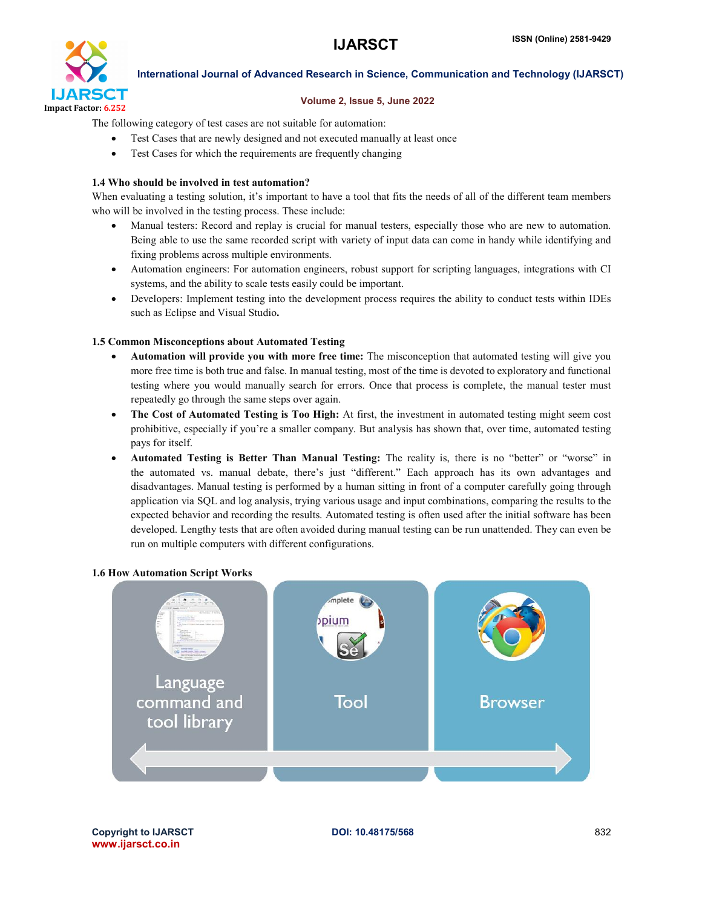

#### Volume 2, Issue 5, June 2022

The following category of test cases are not suitable for automation:

- Test Cases that are newly designed and not executed manually at least once
- Test Cases for which the requirements are frequently changing

#### 1.4 Who should be involved in test automation?

When evaluating a testing solution, it's important to have a tool that fits the needs of all of the different team members who will be involved in the testing process. These include:

- Manual testers: Record and replay is crucial for manual testers, especially those who are new to automation. Being able to use the same recorded script with variety of input data can come in handy while identifying and fixing problems across multiple environments.
- Automation engineers: For automation engineers, robust support for scripting languages, integrations with CI systems, and the ability to scale tests easily could be important.
- Developers: Implement testing into the development process requires the ability to conduct tests within IDEs such as Eclipse and Visual Studio.

#### 1.5 Common Misconceptions about Automated Testing

- Automation will provide you with more free time: The misconception that automated testing will give you more free time is both true and false. In manual testing, most of the time is devoted to exploratory and functional testing where you would manually search for errors. Once that process is complete, the manual tester must repeatedly go through the same steps over again.
- The Cost of Automated Testing is Too High: At first, the investment in automated testing might seem cost prohibitive, especially if you're a smaller company. But analysis has shown that, over time, automated testing pays for itself.
- Automated Testing is Better Than Manual Testing: The reality is, there is no "better" or "worse" in the automated vs. manual debate, there's just "different." Each approach has its own advantages and disadvantages. Manual testing is performed by a human sitting in front of a computer carefully going through application via SQL and log analysis, trying various usage and input combinations, comparing the results to the expected behavior and recording the results. Automated testing is often used after the initial software has been developed. Lengthy tests that are often avoided during manual testing can be run unattended. They can even be run on multiple computers with different configurations.

#### 1.6 How Automation Script Works

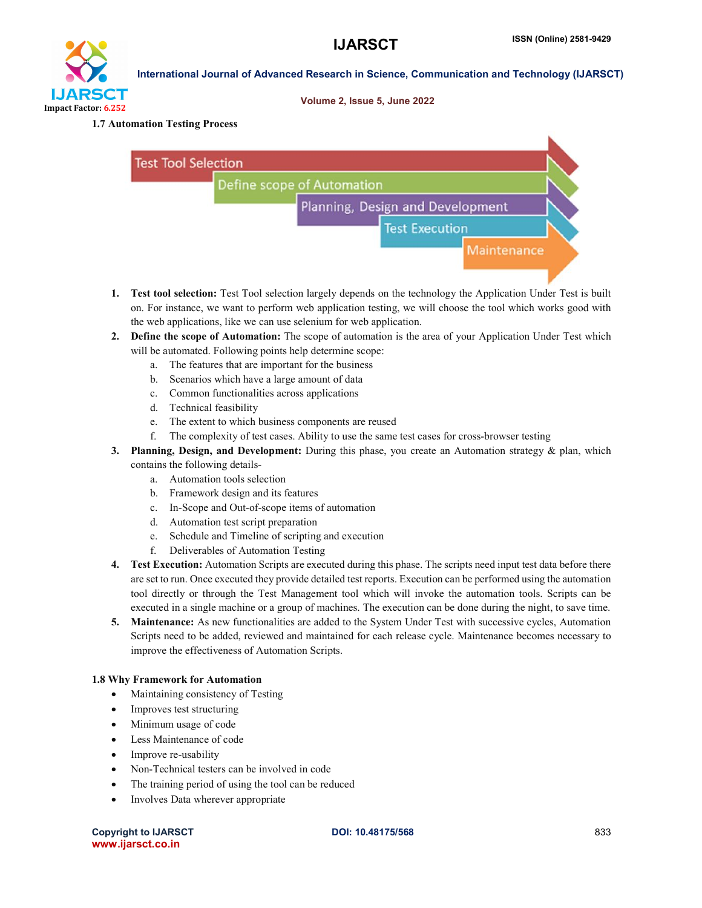# IJARSCT Impact Factor: 6.252

## International Journal of Advanced Research in Science, Communication and Technology (IJARSCT)

#### Volume 2, Issue 5, June 2022

#### 1.7 Automation Testing Process



- 1. Test tool selection: Test Tool selection largely depends on the technology the Application Under Test is built on. For instance, we want to perform web application testing, we will choose the tool which works good with the web applications, like we can use selenium for web application.
- 2. Define the scope of Automation: The scope of automation is the area of your Application Under Test which will be automated. Following points help determine scope:
	- a. The features that are important for the business
	- b. Scenarios which have a large amount of data
	- c. Common functionalities across applications
	- d. Technical feasibility
	- e. The extent to which business components are reused
	- f. The complexity of test cases. Ability to use the same test cases for cross-browser testing
- 3. Planning, Design, and Development: During this phase, you create an Automation strategy & plan, which contains the following details
	- a. Automation tools selection
	- b. Framework design and its features
	- c. In-Scope and Out-of-scope items of automation
	- d. Automation test script preparation
	- e. Schedule and Timeline of scripting and execution
	- f. Deliverables of Automation Testing
- 4. Test Execution: Automation Scripts are executed during this phase. The scripts need input test data before there are set to run. Once executed they provide detailed test reports. Execution can be performed using the automation tool directly or through the Test Management tool which will invoke the automation tools. Scripts can be executed in a single machine or a group of machines. The execution can be done during the night, to save time.
- 5. Maintenance: As new functionalities are added to the System Under Test with successive cycles, Automation Scripts need to be added, reviewed and maintained for each release cycle. Maintenance becomes necessary to improve the effectiveness of Automation Scripts.

#### 1.8 Why Framework for Automation

- Maintaining consistency of Testing
- Improves test structuring
- Minimum usage of code
- Less Maintenance of code
- Improve re-usability
- Non-Technical testers can be involved in code
- The training period of using the tool can be reduced
- Involves Data wherever appropriate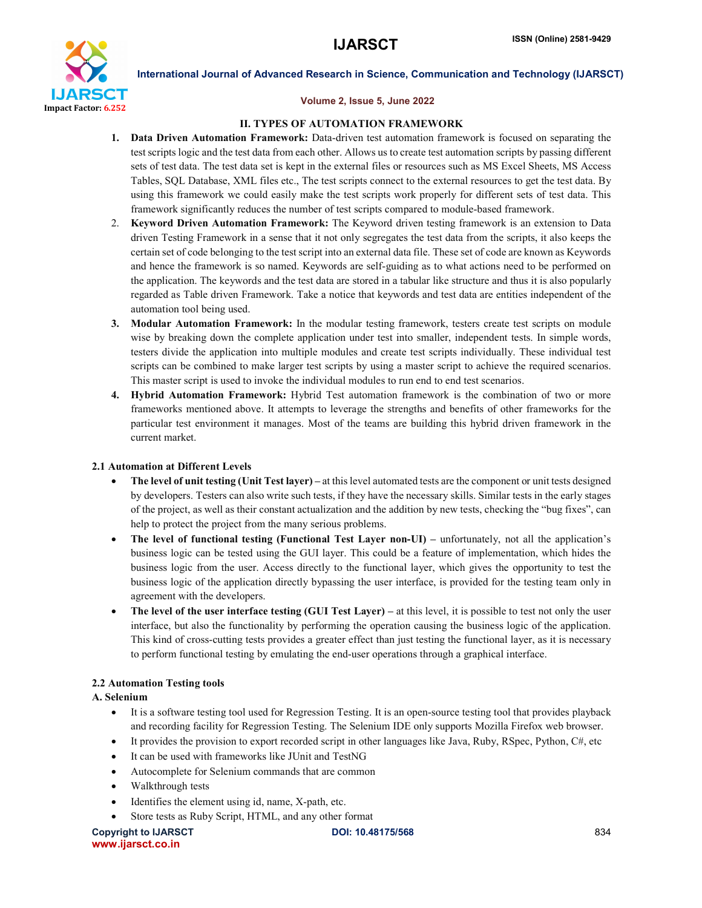

#### Volume 2, Issue 5, June 2022

#### II. TYPES OF AUTOMATION FRAMEWORK

- 1. Data Driven Automation Framework: Data-driven test automation framework is focused on separating the test scripts logic and the test data from each other. Allows us to create test automation scripts by passing different sets of test data. The test data set is kept in the external files or resources such as MS Excel Sheets, MS Access Tables, SQL Database, XML files etc., The test scripts connect to the external resources to get the test data. By using this framework we could easily make the test scripts work properly for different sets of test data. This framework significantly reduces the number of test scripts compared to module-based framework.
- 2. Keyword Driven Automation Framework: The Keyword driven testing framework is an extension to Data driven Testing Framework in a sense that it not only segregates the test data from the scripts, it also keeps the certain set of code belonging to the test script into an external data file. These set of code are known as Keywords and hence the framework is so named. Keywords are self-guiding as to what actions need to be performed on the application. The keywords and the test data are stored in a tabular like structure and thus it is also popularly regarded as Table driven Framework. Take a notice that keywords and test data are entities independent of the automation tool being used.
- 3. Modular Automation Framework: In the modular testing framework, testers create test scripts on module wise by breaking down the complete application under test into smaller, independent tests. In simple words, testers divide the application into multiple modules and create test scripts individually. These individual test scripts can be combined to make larger test scripts by using a master script to achieve the required scenarios. This master script is used to invoke the individual modules to run end to end test scenarios.
- 4. Hybrid Automation Framework: Hybrid Test automation framework is the combination of two or more frameworks mentioned above. It attempts to leverage the strengths and benefits of other frameworks for the particular test environment it manages. Most of the teams are building this hybrid driven framework in the current market.

#### 2.1 Automation at Different Levels

- The level of unit testing (Unit Test layer) at this level automated tests are the component or unit tests designed by developers. Testers can also write such tests, if they have the necessary skills. Similar tests in the early stages of the project, as well as their constant actualization and the addition by new tests, checking the "bug fixes", can help to protect the project from the many serious problems.
- The level of functional testing (Functional Test Layer non-UI) unfortunately, not all the application's business logic can be tested using the GUI layer. This could be a feature of implementation, which hides the business logic from the user. Access directly to the functional layer, which gives the opportunity to test the business logic of the application directly bypassing the user interface, is provided for the testing team only in agreement with the developers.
- The level of the user interface testing (GUI Test Layer) at this level, it is possible to test not only the user interface, but also the functionality by performing the operation causing the business logic of the application. This kind of cross-cutting tests provides a greater effect than just testing the functional layer, as it is necessary to perform functional testing by emulating the end-user operations through a graphical interface.

#### 2.2 Automation Testing tools

#### A. Selenium

- It is a software testing tool used for Regression Testing. It is an open-source testing tool that provides playback and recording facility for Regression Testing. The Selenium IDE only supports Mozilla Firefox web browser.
- It provides the provision to export recorded script in other languages like Java, Ruby, RSpec, Python, C#, etc
- It can be used with frameworks like JUnit and TestNG
- Autocomplete for Selenium commands that are common
- Walkthrough tests
- Identifies the element using id, name, X-path, etc.
- Store tests as Ruby Script, HTML, and any other format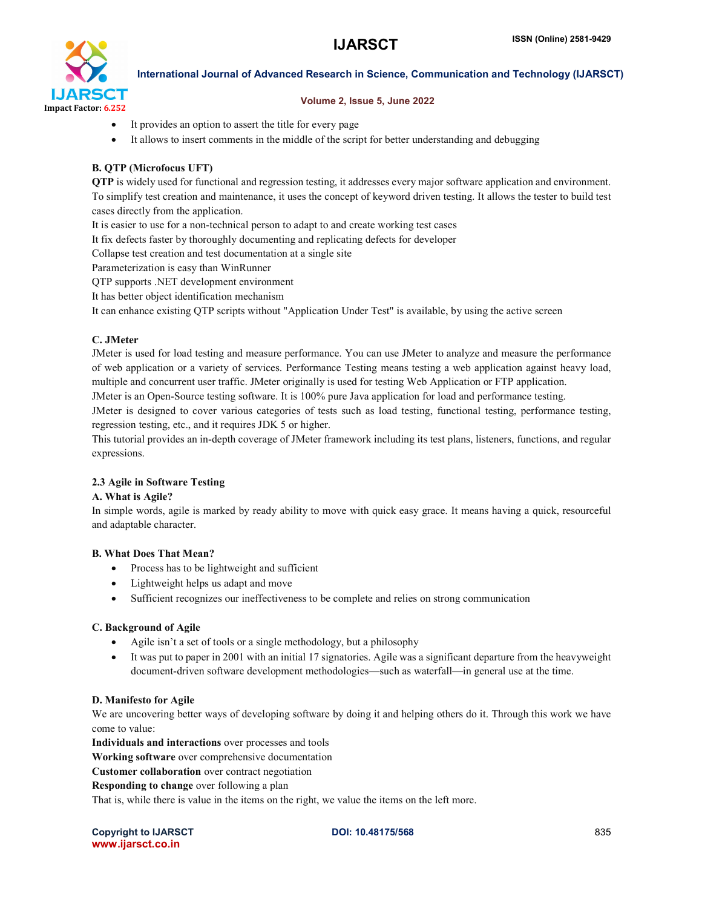

#### Volume 2, Issue 5, June 2022

- It provides an option to assert the title for every page
- It allows to insert comments in the middle of the script for better understanding and debugging

#### B. QTP (Microfocus UFT)

QTP is widely used for functional and regression testing, it addresses every major software application and environment. To simplify test creation and maintenance, it uses the concept of keyword driven testing. It allows the tester to build test cases directly from the application.

It is easier to use for a non-technical person to adapt to and create working test cases

It fix defects faster by thoroughly documenting and replicating defects for developer

Collapse test creation and test documentation at a single site

Parameterization is easy than WinRunner

QTP supports .NET development environment

It has better object identification mechanism

It can enhance existing QTP scripts without "Application Under Test" is available, by using the active screen

#### C. JMeter

JMeter is used for load testing and measure performance. You can use JMeter to analyze and measure the performance of web application or a variety of services. Performance Testing means testing a web application against heavy load, multiple and concurrent user traffic. JMeter originally is used for testing Web Application or FTP application.

JMeter is an Open-Source testing software. It is 100% pure Java application for load and performance testing.

JMeter is designed to cover various categories of tests such as load testing, functional testing, performance testing, regression testing, etc., and it requires JDK 5 or higher.

This tutorial provides an in-depth coverage of JMeter framework including its test plans, listeners, functions, and regular expressions.

#### 2.3 Agile in Software Testing

#### A. What is Agile?

In simple words, agile is marked by ready ability to move with quick easy grace. It means having a quick, resourceful and adaptable character.

#### B. What Does That Mean?

- Process has to be lightweight and sufficient
- Lightweight helps us adapt and move
- Sufficient recognizes our ineffectiveness to be complete and relies on strong communication

#### C. Background of Agile

- Agile isn't a set of tools or a single methodology, but a philosophy
- It was put to paper in 2001 with an initial 17 signatories. Agile was a significant departure from the heavyweight document-driven software development methodologies—such as waterfall—in general use at the time.

#### D. Manifesto for Agile

We are uncovering better ways of developing software by doing it and helping others do it. Through this work we have come to value:

Individuals and interactions over processes and tools

Working software over comprehensive documentation

Customer collaboration over contract negotiation

Responding to change over following a plan

That is, while there is value in the items on the right, we value the items on the left more.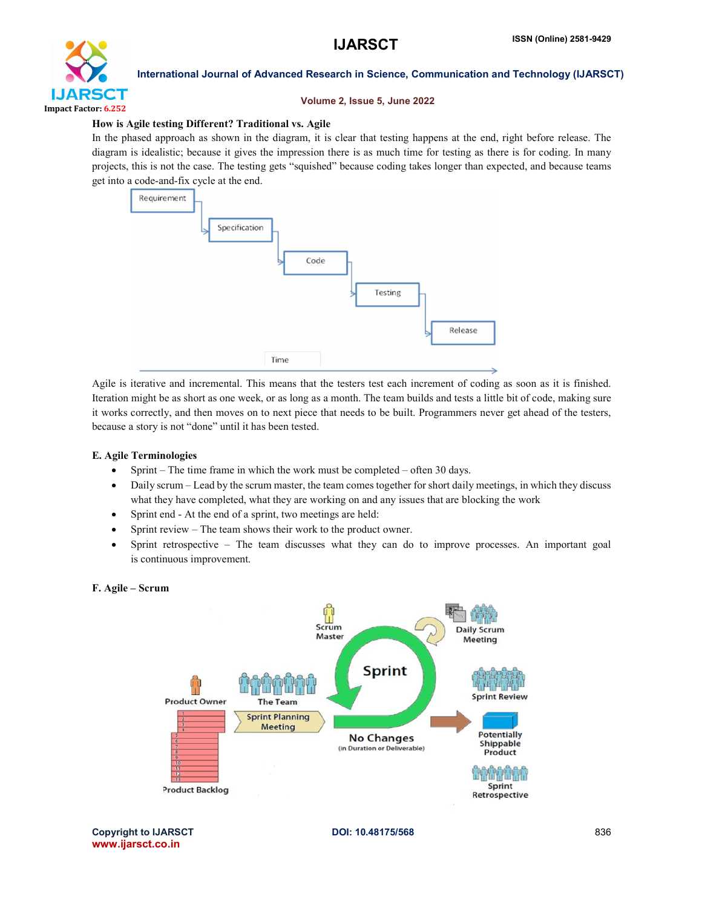

#### Volume 2, Issue 5, June 2022

#### How is Agile testing Different? Traditional vs. Agile

In the phased approach as shown in the diagram, it is clear that testing happens at the end, right before release. The diagram is idealistic; because it gives the impression there is as much time for testing as there is for coding. In many projects, this is not the case. The testing gets "squished" because coding takes longer than expected, and because teams get into a code-and-fix cycle at the end.



Agile is iterative and incremental. This means that the testers test each increment of coding as soon as it is finished. Iteration might be as short as one week, or as long as a month. The team builds and tests a little bit of code, making sure it works correctly, and then moves on to next piece that needs to be built. Programmers never get ahead of the testers, because a story is not "done" until it has been tested.

#### E. Agile Terminologies

- Sprint The time frame in which the work must be completed often 30 days.
- Daily scrum Lead by the scrum master, the team comes together for short daily meetings, in which they discuss what they have completed, what they are working on and any issues that are blocking the work
- Sprint end At the end of a sprint, two meetings are held:
- Sprint review The team shows their work to the product owner.
- Sprint retrospective The team discusses what they can do to improve processes. An important goal is continuous improvement.

#### F. Agile – Scrum

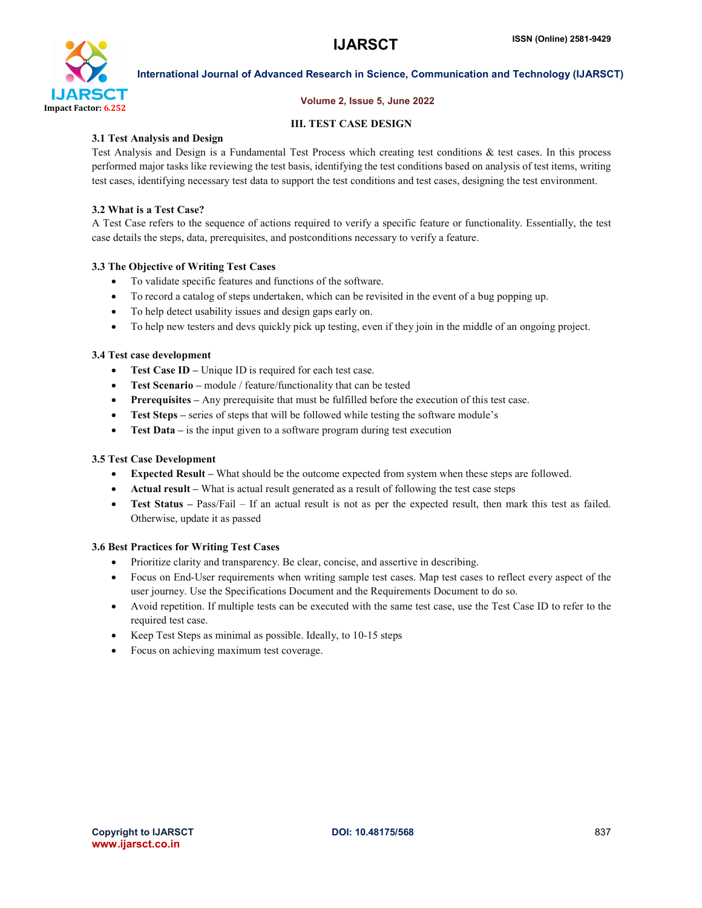

#### Volume 2, Issue 5, June 2022

#### III. TEST CASE DESIGN

#### 3.1 Test Analysis and Design

Test Analysis and Design is a Fundamental Test Process which creating test conditions & test cases. In this process performed major tasks like reviewing the test basis, identifying the test conditions based on analysis of test items, writing test cases, identifying necessary test data to support the test conditions and test cases, designing the test environment.

#### 3.2 What is a Test Case?

A Test Case refers to the sequence of actions required to verify a specific feature or functionality. Essentially, the test case details the steps, data, prerequisites, and postconditions necessary to verify a feature.

## 3.3 The Objective of Writing Test Cases

- To validate specific features and functions of the software.
- To record a catalog of steps undertaken, which can be revisited in the event of a bug popping up.
- To help detect usability issues and design gaps early on.
- To help new testers and devs quickly pick up testing, even if they join in the middle of an ongoing project.

## 3.4 Test case development

- Test Case ID Unique ID is required for each test case.
- Test Scenario module / feature/functionality that can be tested
- Prerequisites Any prerequisite that must be fulfilled before the execution of this test case.
- Test Steps series of steps that will be followed while testing the software module's
- Test Data is the input given to a software program during test execution

#### 3.5 Test Case Development

- Expected Result What should be the outcome expected from system when these steps are followed.
- Actual result What is actual result generated as a result of following the test case steps
- Test Status Pass/Fail If an actual result is not as per the expected result, then mark this test as failed. Otherwise, update it as passed

#### 3.6 Best Practices for Writing Test Cases

- Prioritize clarity and transparency. Be clear, concise, and assertive in describing.
- Focus on End-User requirements when writing sample test cases. Map test cases to reflect every aspect of the user journey. Use the Specifications Document and the Requirements Document to do so.
- Avoid repetition. If multiple tests can be executed with the same test case, use the Test Case ID to refer to the required test case.
- Keep Test Steps as minimal as possible. Ideally, to 10-15 steps
- Focus on achieving maximum test coverage.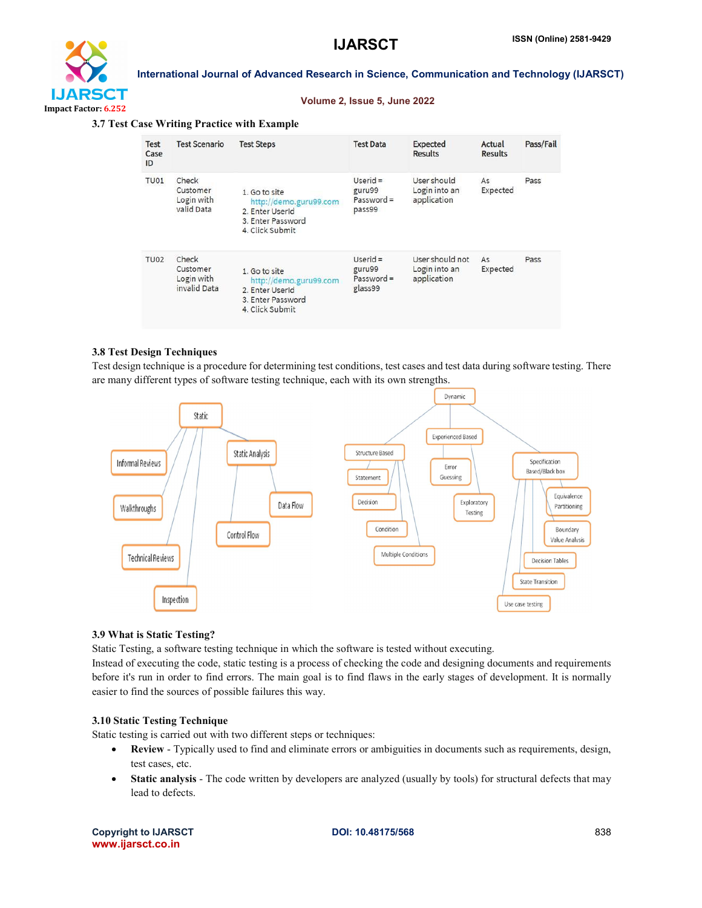



#### Volume 2, Issue 5, June 2022

#### 3.7 Test Case Writing Practice with Example

| <b>Test</b><br>Case<br>ID | <b>Test Scenario</b>                            | <b>Test Steps</b>                                                                                  | <b>Test Data</b>                                | <b>Expected</b><br><b>Results</b>               | Actual<br><b>Results</b> | Pass/Fail |
|---------------------------|-------------------------------------------------|----------------------------------------------------------------------------------------------------|-------------------------------------------------|-------------------------------------------------|--------------------------|-----------|
| TU01                      | Check<br>Customer<br>Login with<br>valid Data   | 1. Go to site<br>http://demo.guru99.com<br>2. Enter UserId<br>3. Enter Password<br>4. Click Submit | $Userid =$<br>guru99<br>$Password =$<br>pass99  | User should<br>Login into an<br>application     | As<br>Expected           | Pass      |
| TU <sub>02</sub>          | Check<br>Customer<br>Login with<br>invalid Data | 1. Go to site<br>http://demo.guru99.com<br>2. Enter UserId<br>3. Enter Password<br>4. Click Submit | $Userid =$<br>guru99<br>$Password =$<br>glass99 | User should not<br>Login into an<br>application | As<br>Expected           | Pass      |

#### 3.8 Test Design Techniques

Test design technique is a procedure for determining test conditions, test cases and test data during software testing. There are many different types of software testing technique, each with its own strengths.



#### 3.9 What is Static Testing?

Static Testing, a software testing technique in which the software is tested without executing.

Instead of executing the code, static testing is a process of checking the code and designing documents and requirements before it's run in order to find errors. The main goal is to find flaws in the early stages of development. It is normally easier to find the sources of possible failures this way.

#### 3.10 Static Testing Technique

Static testing is carried out with two different steps or techniques:

- Review Typically used to find and eliminate errors or ambiguities in documents such as requirements, design, test cases, etc.
- Static analysis The code written by developers are analyzed (usually by tools) for structural defects that may lead to defects.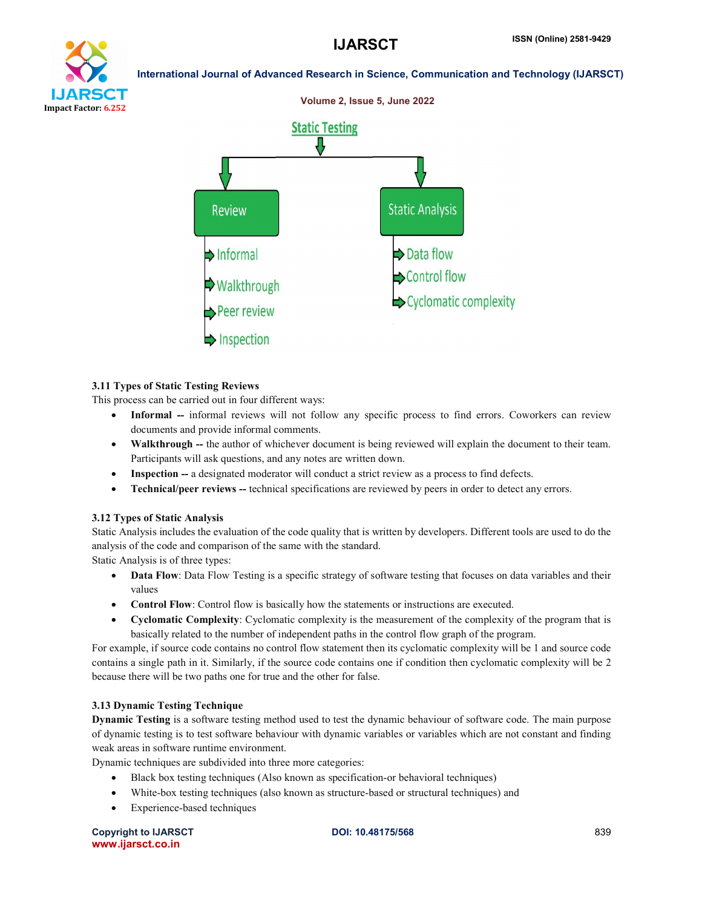# Impact Factor: 6.252

International Journal of Advanced Research in Science, Communication and Technology (IJARSCT)



#### 3.11 Types of Static Testing Reviews

This process can be carried out in four different ways:

- Informal -- informal reviews will not follow any specific process to find errors. Coworkers can review documents and provide informal comments.
- Walkthrough -- the author of whichever document is being reviewed will explain the document to their team. Participants will ask questions, and any notes are written down.
- Inspection -- a designated moderator will conduct a strict review as a process to find defects.
- Technical/peer reviews -- technical specifications are reviewed by peers in order to detect any errors.

## 3.12 Types of Static Analysis

Static Analysis includes the evaluation of the code quality that is written by developers. Different tools are used to do the analysis of the code and comparison of the same with the standard.

Static Analysis is of three types:

- Data Flow: Data Flow Testing is a specific strategy of software testing that focuses on data variables and their values
- Control Flow: Control flow is basically how the statements or instructions are executed.
- Cyclomatic Complexity: Cyclomatic complexity is the measurement of the complexity of the program that is basically related to the number of independent paths in the control flow graph of the program.

For example, if source code contains no control flow statement then its cyclomatic complexity will be 1 and source code contains a single path in it. Similarly, if the source code contains one if condition then cyclomatic complexity will be 2 because there will be two paths one for true and the other for false.

#### 3.13 Dynamic Testing Technique

Dynamic Testing is a software testing method used to test the dynamic behaviour of software code. The main purpose of dynamic testing is to test software behaviour with dynamic variables or variables which are not constant and finding weak areas in software runtime environment.

Dynamic techniques are subdivided into three more categories:

- Black box testing techniques (Also known as specification-or behavioral techniques)
- White-box testing techniques (also known as structure-based or structural techniques) and
- Experience-based techniques

Copyright to IJARSCT **DOI: 10.48175/568** 839 www.ijarsct.co.in